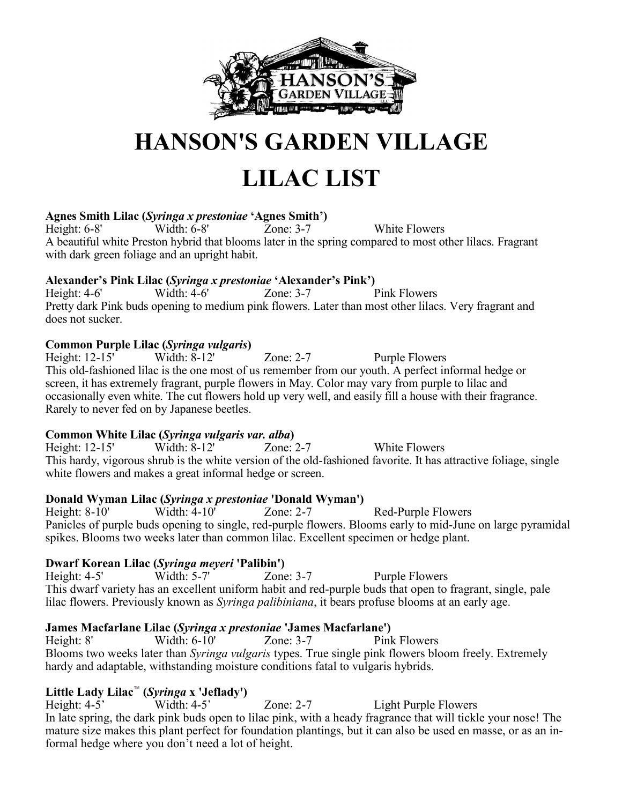

# **HANSON'S GARDEN VILLAGE**

# **LILAC LIST**

### **Agnes Smith Lilac (***Syringa x prestoniae* **'Agnes Smith')**

Height: 6-8' Width: 6-8' Zone: 3-7 White Flowers A beautiful white Preston hybrid that blooms later in the spring compared to most other lilacs. Fragrant with dark green foliage and an upright habit.

# **Alexander's Pink Lilac (***Syringa x prestoniae* **'Alexander's Pink')**

Height: 4-6' Width: 4-6' Zone: 3-7 Pink Flowers Pretty dark Pink buds opening to medium pink flowers. Later than most other lilacs. Very fragrant and does not sucker.

### **Common Purple Lilac (***Syringa vulgaris***)**

Height: 12-15' Width: 8-12' Zone: 2-7 Purple Flowers This old-fashioned lilac is the one most of us remember from our youth. A perfect informal hedge or screen, it has extremely fragrant, purple flowers in May. Color may vary from purple to lilac and occasionally even white. The cut flowers hold up very well, and easily fill a house with their fragrance. Rarely to never fed on by Japanese beetles.

### **Common White Lilac (***Syringa vulgaris var. alba***)**

Height: 12-15' Width: 8-12' Zone: 2-7 White Flowers This hardy, vigorous shrub is the white version of the old-fashioned favorite. It has attractive foliage, single white flowers and makes a great informal hedge or screen.

### **Donald Wyman Lilac (***Syringa x prestoniae* **'Donald Wyman')**

Height: 8-10' Width: 4-10' Zone: 2-7 Red-Purple Flowers Panicles of purple buds opening to single, red-purple flowers. Blooms early to mid-June on large pyramidal spikes. Blooms two weeks later than common lilac. Excellent specimen or hedge plant.

## **Dwarf Korean Lilac (***Syringa meyeri* **'Palibin')**

Height: 4-5' Width: 5-7' Zone: 3-7 Purple Flowers This dwarf variety has an excellent uniform habit and red-purple buds that open to fragrant, single, pale lilac flowers. Previously known as *Syringa palibiniana*, it bears profuse blooms at an early age.

### **James Macfarlane Lilac (***Syringa x prestoniae* **'James Macfarlane')**

Height: 8' Width: 6-10' Zone: 3-7 Pink Flowers Blooms two weeks later than *Syringa vulgaris* types. True single pink flowers bloom freely. Extremely hardy and adaptable, withstanding moisture conditions fatal to vulgaris hybrids.

# **Little Lady Lilac**™ **(***Syringa* **x 'Jeflady')**

Zone: 2-7 Light Purple Flowers In late spring, the dark pink buds open to lilac pink, with a heady fragrance that will tickle your nose! The mature size makes this plant perfect for foundation plantings, but it can also be used en masse, or as an informal hedge where you don't need a lot of height.